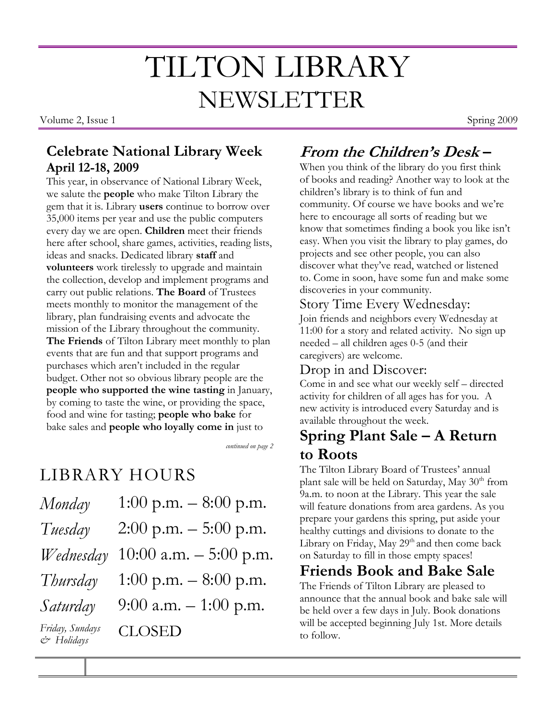# TILTON LIBRARY **NEWSLETTER**

Volume 2, Issue 1 Spring 2009

### **Celebrate National Library Week April 12-18, 2009**

This year, in observance of National Library Week, we salute the **people** who make Tilton Library the gem that it is. Library **users** continue to borrow over 35,000 items per year and use the public computers every day we are open. **Children** meet their friends here after school, share games, activities, reading lists, ideas and snacks. Dedicated library **staff** and **volunteers** work tirelessly to upgrade and maintain the collection, develop and implement programs and carry out public relations. **The Board** of Trustees meets monthly to monitor the management of the library, plan fundraising events and advocate the mission of the Library throughout the community. **The Friends** of Tilton Library meet monthly to plan events that are fun and that support programs and purchases which aren't included in the regular budget. Other not so obvious library people are the **people who supported the wine tasting** in January, by coming to taste the wine, or providing the space, food and wine for tasting; **people who bake** for bake sales and **people who loyally come in** just to

*continued on page 2*

## LIBRARY HOURS

| 1:00 p.m. $-8:00$ p.m.   |
|--------------------------|
| $2:00$ p.m. $-5:00$ p.m. |
| 10:00 a.m. $-$ 5:00 p.m. |
| 1:00 p.m. $-8:00$ p.m.   |
| 9:00 a.m. $-1:00$ p.m.   |
| <b>CLOSED</b>            |
|                          |

## **From the Children's Desk –**

When you think of the library do you first think of books and reading? Another way to look at the children's library is to think of fun and community. Of course we have books and we're here to encourage all sorts of reading but we know that sometimes finding a book you like isn't easy. When you visit the library to play games, do projects and see other people, you can also discover what they've read, watched or listened to. Come in soon, have some fun and make some discoveries in your community.

#### Story Time Every Wednesday:

Join friends and neighbors every Wednesday at 11:00 for a story and related activity. No sign up needed – all children ages 0-5 (and their caregivers) are welcome.

#### Drop in and Discover:

Come in and see what our weekly self – directed activity for children of all ages has for you. A new activity is introduced every Saturday and is available throughout the week.

## **Spring Plant Sale – A Return to Roots**

The Tilton Library Board of Trustees' annual plant sale will be held on Saturday, May  $30<sup>th</sup>$  from 9a.m. to noon at the Library. This year the sale will feature donations from area gardens. As you prepare your gardens this spring, put aside your healthy cuttings and divisions to donate to the Library on Friday, May 29<sup>th</sup> and then come back on Saturday to fill in those empty spaces!

## **Friends Book and Bake Sale**

The Friends of Tilton Library are pleased to announce that the annual book and bake sale will be held over a few days in July. Book donations will be accepted beginning July 1st. More details to follow.

*continued on page 3*